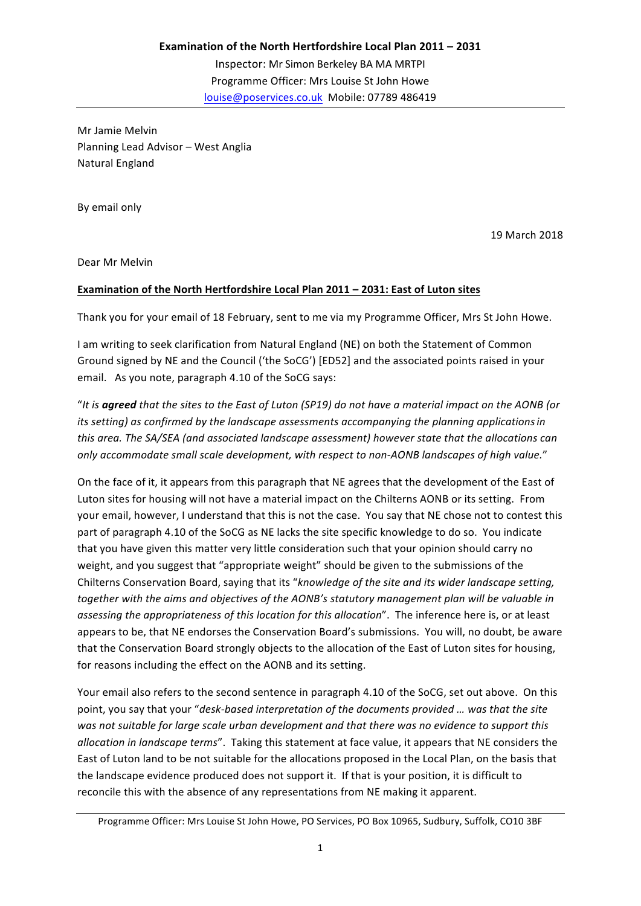Mr Jamie Melvin Planning Lead Advisor - West Anglia Natural England

By email only

19 March 2018

Dear Mr Melvin

## **Examination of the North Hertfordshire Local Plan 2011 - 2031: East of Luton sites**

Thank you for your email of 18 February, sent to me via my Programme Officer, Mrs St John Howe.

I am writing to seek clarification from Natural England (NE) on both the Statement of Common Ground signed by NE and the Council ('the SoCG') [ED52] and the associated points raised in your email. As you note, paragraph 4.10 of the SoCG says:

"It is **agreed** that the sites to the East of Luton (SP19) do not have a material impact on the AONB (or *its* setting) as confirmed by the landscape assessments accompanying the planning applications in *this* area. The SA/SEA (and associated landscape assessment) however state that the allocations can *only accommodate small scale development, with respect to non-AONB landscapes of high value.*"

On the face of it, it appears from this paragraph that NE agrees that the development of the East of Luton sites for housing will not have a material impact on the Chilterns AONB or its setting. From your email, however, I understand that this is not the case. You say that NE chose not to contest this part of paragraph 4.10 of the SoCG as NE lacks the site specific knowledge to do so. You indicate that you have given this matter very little consideration such that your opinion should carry no weight, and you suggest that "appropriate weight" should be given to the submissions of the Chilterns Conservation Board, saying that its "knowledge of the site and its wider landscape setting, together with the aims and objectives of the AONB's statutory management plan will be valuable in *assessing the appropriateness of this location for this allocation*". The inference here is, or at least appears to be, that NE endorses the Conservation Board's submissions. You will, no doubt, be aware that the Conservation Board strongly objects to the allocation of the East of Luton sites for housing, for reasons including the effect on the AONB and its setting.

Your email also refers to the second sentence in paragraph 4.10 of the SoCG, set out above. On this point, you say that your "*desk-based interpretation of the documents provided ... was that the site* was not suitable for large scale urban development and that there was no evidence to support this *allocation in landscape terms"*. Taking this statement at face value, it appears that NE considers the East of Luton land to be not suitable for the allocations proposed in the Local Plan, on the basis that the landscape evidence produced does not support it. If that is your position, it is difficult to reconcile this with the absence of any representations from NE making it apparent.

Programme Officer: Mrs Louise St John Howe, PO Services, PO Box 10965, Sudbury, Suffolk, CO10 3BF